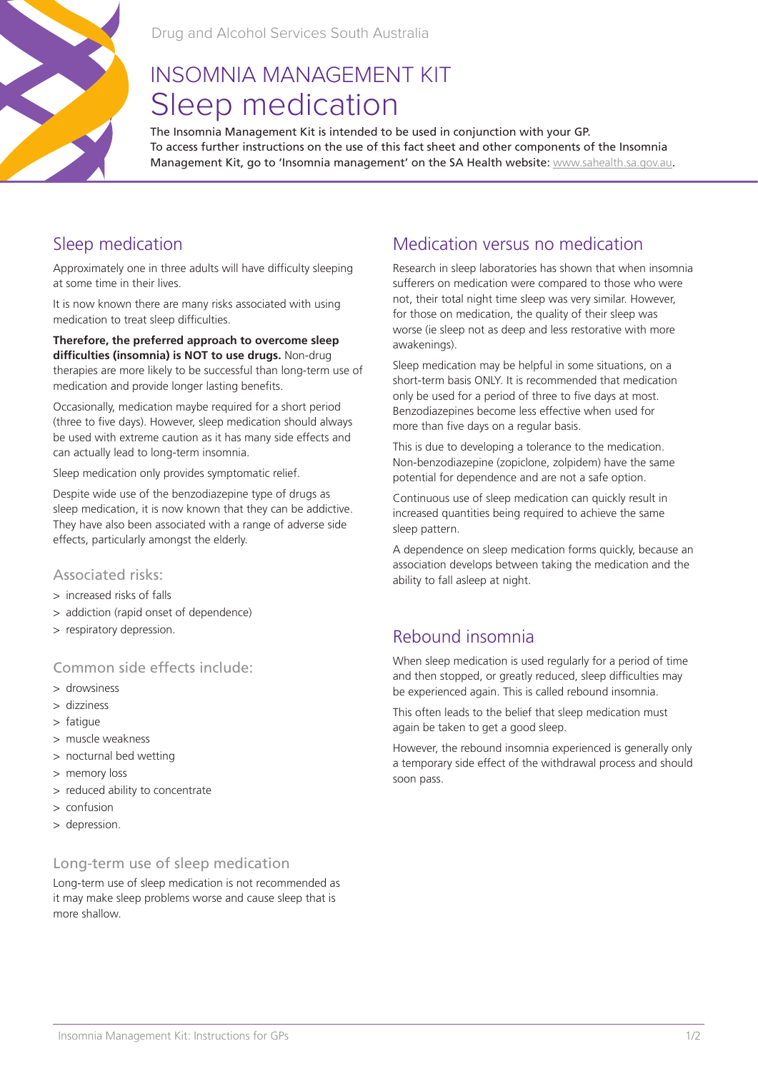

# INSOMNIA MANAGEMENT KIT Sleep medication

The Insomnia Management Kit is intended to be used in conjunction with your GP. To access further instructions on the use of this fact sheet and other components of the Insomnia Management Kit, go to 'Insomnia management' on the SA Health website: www.sahealth.sa.gov.au.

# Sleep medication

Approximately one in three adults will have difficulty sleeping at some time in their lives.

It is now known there are many risks associated with using medication to treat sleep difficulties.

**Therefore, the preferred approach to overcome sleep difficulties (insomnia) is NOT to use drugs.** Non-drug therapies are more likely to be successful than long-term use of medication and provide longer lasting benefits.

Occasionally, medication maybe required for a short period (three to five days). However, sleep medication should always be used with extreme caution as it has many side effects and can actually lead to long-term insomnia.

Sleep medication only provides symptomatic relief.

Despite wide use of the benzodiazepine type of drugs as sleep medication, it is now known that they can be addictive. They have also been associated with a range of adverse side effects, particularly amongst the elderly.

#### Associated risks:

- > increased risks of falls
- > addiction (rapid onset of dependence)
- > respiratory depression.

#### Common side effects include:

- > drowsiness
- > dizziness
- > fatigue
- > muscle weakness
- > nocturnal bed wetting
- > memory loss
- > reduced ability to concentrate
- > confusion
- > depression.

#### Long-term use of sleep medication

Long-term use of sleep medication is not recommended as it may make sleep problems worse and cause sleep that is more shallow.

## Medication versus no medication

Research in sleep laboratories has shown that when insomnia sufferers on medication were compared to those who were not, their total night time sleep was very similar. However, for those on medication, the quality of their sleep was worse (ie sleep not as deep and less restorative with more awakenings).

Sleep medication may be helpful in some situations, on a short-term basis ONLY. It is recommended that medication only be used for a period of three to five days at most. Benzodiazepines become less effective when used for more than five days on a regular basis.

This is due to developing a tolerance to the medication. Non-benzodiazepine (zopiclone, zolpidem) have the same potential for dependence and are not a safe option.

Continuous use of sleep medication can quickly result in increased quantities being required to achieve the same sleep pattern.

A dependence on sleep medication forms quickly, because an association develops between taking the medication and the ability to fall asleep at night.

# Rebound insomnia

When sleep medication is used regularly for a period of time and then stopped, or greatly reduced, sleep difficulties may be experienced again. This is called rebound insomnia.

This often leads to the belief that sleep medication must again be taken to get a good sleep.

However, the rebound insomnia experienced is generally only a temporary side effect of the withdrawal process and should soon pass.